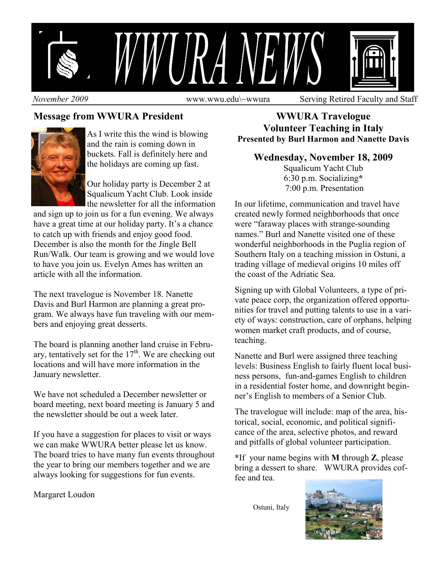

*November 2009* **www.wwu.edu\~wwura** Serving Retired Faculty and Staff

## **Message from WWURA President**



As I write this the wind is blowing and the rain is coming down in buckets. Fall is definitely here and the holidays are coming up fast.

Our holiday party is December 2 at Squalicum Yacht Club. Look inside the newsletter for all the information

and sign up to join us for a fun evening. We always have a great time at our holiday party. It's a chance to catch up with friends and enjoy good food. December is also the month for the Jingle Bell Run/Walk. Our team is growing and we would love to have you join us. Evelyn Ames has written an article with all the information.

The next travelogue is November 18. Nanette Davis and Burl Harmon are planning a great program. We always have fun traveling with our members and enjoying great desserts.

The board is planning another land cruise in February, tentatively set for the  $17<sup>th</sup>$ . We are checking out locations and will have more information in the January newsletter.

We have not scheduled a December newsletter or board meeting, next board meeting is January 5 and the newsletter should be out a week later.

If you have a suggestion for places to visit or ways we can make WWURA better please let us know. The board tries to have many fun events throughout the year to bring our members together and we are always looking for suggestions for fun events.

Margaret Loudon

**WWURA Travelogue Volunteer Teaching in Italy Presented by Burl Harmon and Nanette Davis** 

## **Wednesday, November 18, 2009**

Squalicum Yacht Club 6:30 p.m. Socializing**\*** 7:00 p.m. Presentation

In our lifetime, communication and travel have created newly formed neighborhoods that once were "faraway places with strange-sounding names." Burl and Nanette visited one of these wonderful neighborhoods in the Puglia region of Southern Italy on a teaching mission in Ostuni, a trading village of medieval origins 10 miles off the coast of the Adriatic Sea.

Signing up with Global Volunteers, a type of private peace corp, the organization offered opportunities for travel and putting talents to use in a variety of ways: construction, care of orphans, helping women market craft products, and of course, teaching.

Nanette and Burl were assigned three teaching levels: Business English to fairly fluent local business persons, fun-and-games English to children in a residential foster home, and downright beginner's English to members of a Senior Club.

The travelogue will include: map of the area, historical, social, economic, and political significance of the area, selective photos, and reward and pitfalls of global volunteer participation.

**\***If your name begins with **M** through **Z**, please bring a dessert to share. WWURA provides coffee and tea.

Ostuni, Italy

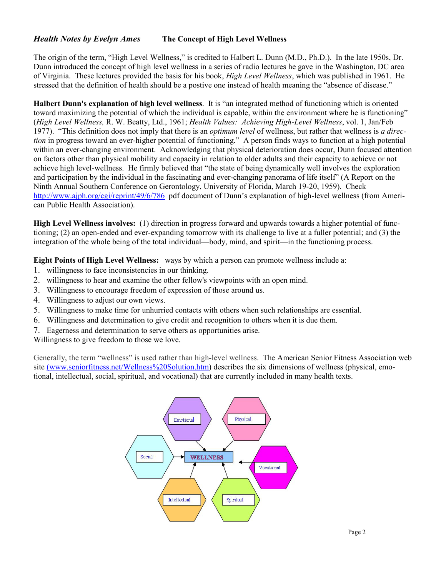## *Health Notes by Evelyn Ames* **The Concept of High Level Wellness**

The origin of the term, "High Level Wellness," is credited to Halbert L. Dunn (M.D., Ph.D.). In the late 1950s, Dr. Dunn introduced the concept of high level wellness in a series of radio lectures he gave in the Washington, DC area of Virginia. These lectures provided the basis for his book, *High Level Wellness*, which was published in 1961. He stressed that the definition of health should be a postive one instead of health meaning the "absence of disease."

**Halbert Dunn's explanation of high level wellness**. It is "an integrated method of functioning which is oriented toward maximizing the potential of which the individual is capable, within the environment where he is functioning" (*High Level Wellness,* R. W. Beatty, Ltd., 1961; *Health Values: Achieving High-Level Wellness*, vol. 1, Jan/Feb 1977). "This definition does not imply that there is an *optimum level* of wellness, but rather that wellness is *a direction* in progress toward an ever-higher potential of functioning." A person finds ways to function at a high potential within an ever-changing environment. Acknowledging that physical deterioration does occur, Dunn focused attention on factors other than physical mobility and capacity in relation to older adults and their capacity to achieve or not achieve high level-wellness. He firmly believed that "the state of being dynamically well involves the exploration and participation by the individual in the fascinating and ever-changing panorama of life itself" (A Report on the Ninth Annual Southern Conference on Gerontology, University of Florida, March 19-20, 1959). Check http://www.ajph.org/cgi/reprint/49/6/786 pdf document of Dunn's explanation of high-level wellness (from American Public Health Association).

**High Level Wellness involves:** (1) direction in progress forward and upwards towards a higher potential of functioning; (2) an open-ended and ever-expanding tomorrow with its challenge to live at a fuller potential; and (3) the integration of the whole being of the total individual—body, mind, and spirit—in the functioning process.

**Eight Points of High Level Wellness:** ways by which a person can promote wellness include a:

- 1. willingness to face inconsistencies in our thinking.
- 2. willingness to hear and examine the other fellow's viewpoints with an open mind.
- 3. Willingness to encourage freedom of expression of those around us.
- 4. Willingness to adjust our own views.
- 5. Willingness to make time for unhurried contacts with others when such relationships are essential.
- 6. Willingness and determination to give credit and recognition to others when it is due them.
- 7. Eagerness and determination to serve others as opportunities arise.

Willingness to give freedom to those we love.

Generally, the term "wellness" is used rather than high-level wellness. The American Senior Fitness Association web site (www.seniorfitness.net/Wellness%20Solution.htm) describes the six dimensions of wellness (physical, emotional, intellectual, social, spiritual, and vocational) that are currently included in many health texts.

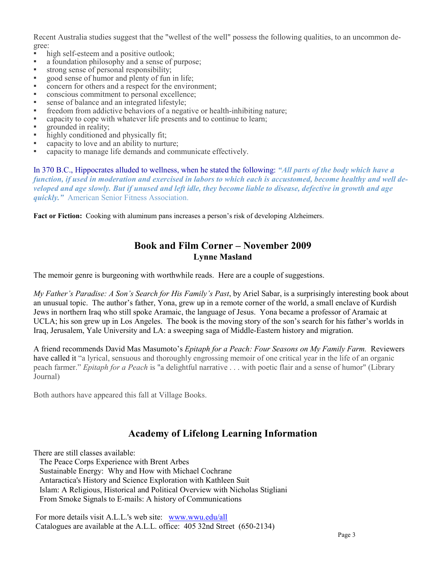Recent Australia studies suggest that the "wellest of the well" possess the following qualities, to an uncommon degree:

- high self-esteem and a positive outlook;<br>• a foundation philosophy and a sense of r
- a foundation philosophy and a sense of purpose;
- strong sense of personal responsibility;
- good sense of humor and plenty of fun in life;
- concern for others and a respect for the environment;
- conscious commitment to personal excellence;
- sense of balance and an integrated lifestyle;
- freedom from addictive behaviors of a negative or health-inhibiting nature;
- capacity to cope with whatever life presents and to continue to learn;
- grounded in reality;
- highly conditioned and physically fit;
- capacity to love and an ability to nurture;
- capacity to manage life demands and communicate effectively.

In 370 B.C., Hippocrates alluded to wellness, when he stated the following: *"All parts of the body which have a function, if used in moderation and exercised in labors to which each is accustomed, become healthy and well developed and age slowly. But if unused and left idle, they become liable to disease, defective in growth and age quickly."* American Senior Fitness Association.

**Fact or Fiction:** Cooking with aluminum pans increases a person's risk of developing Alzheimers.

## **Book and Film Corner – November 2009 Lynne Masland**

The memoir genre is burgeoning with worthwhile reads. Here are a couple of suggestions.

*My Father's Paradise: A Son's Search for His Family's Past*, by Ariel Sabar, is a surprisingly interesting book about an unusual topic. The author's father, Yona, grew up in a remote corner of the world, a small enclave of Kurdish Jews in northern Iraq who still spoke Aramaic, the language of Jesus. Yona became a professor of Aramaic at UCLA; his son grew up in Los Angeles. The book is the moving story of the son's search for his father's worlds in Iraq, Jerusalem, Yale University and LA: a sweeping saga of Middle-Eastern history and migration.

A friend recommends David Mas Masumoto's *Epitaph for a Peach: Four Seasons on My Family Farm.* Reviewers have called it "a lyrical, sensuous and thoroughly engrossing memoir of one critical year in the life of an organic peach farmer." *Epitaph for a Peach* is "a delightful narrative . . . with poetic flair and a sense of humor" (Library Journal)

Both authors have appeared this fall at Village Books.

## **Academy of Lifelong Learning Information**

There are still classes available:

 The Peace Corps Experience with Brent Arbes Sustainable Energy: Why and How with Michael Cochrane Antaractica's History and Science Exploration with Kathleen Suit Islam: A Religious, Historical and Political Overview with Nicholas Stigliani From Smoke Signals to E-mails: A history of Communications

 For more details visit A.L.L.'s web site: www.wwu.edu/all Catalogues are available at the A.L.L. office: 405 32nd Street (650-2134)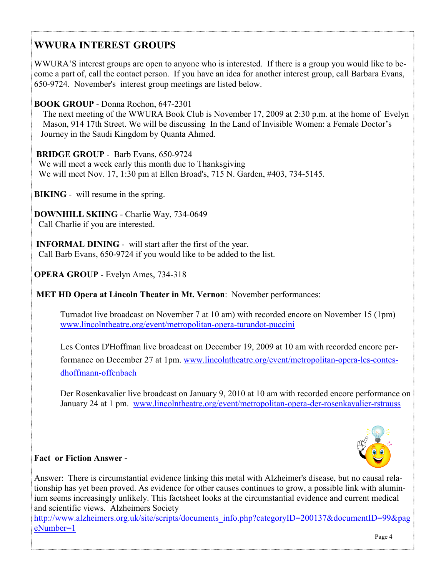## **WWURA INTEREST GROUPS**

WWURA'S interest groups are open to anyone who is interested. If there is a group you would like to become a part of, call the contact person. If you have an idea for another interest group, call Barbara Evans, 650-9724. November's interest group meetings are listed below.

## **BOOK GROUP** - Donna Rochon, 647-2301

 The next meeting of the WWURA Book Club is November 17, 2009 at 2:30 p.m. at the home of Evelyn Mason, 914 17th Street. We will be discussing In the Land of Invisible Women: a Female Doctor's Journey in the Saudi Kingdom by Quanta Ahmed.

## **BRIDGE GROUP** - Barb Evans, 650-9724

 We will meet a week early this month due to Thanksgiving We will meet Nov. 17, 1:30 pm at Ellen Broad's, 715 N. Garden, #403, 734-5145.

**BIKING** - will resume in the spring.

**DOWNHILL SKIING** - Charlie Way, 734-0649 Call Charlie if you are interested.

 **INFORMAL DINING** - will start after the first of the year. Call Barb Evans, 650-9724 if you would like to be added to the list.

**OPERA GROUP** - Evelyn Ames, 734-318

**MET HD Opera at Lincoln Theater in Mt. Vernon**: November performances:

Turnadot live broadcast on November 7 at 10 am) with recorded encore on November 15 (1pm) www.lincolntheatre.org/event/metropolitan-opera-turandot-puccini

Les Contes D'Hoffman live broadcast on December 19, 2009 at 10 am with recorded encore performance on December 27 at 1pm. www.lincolntheatre.org/event/metropolitan-opera-les-contesdhoffmann-offenbach

 Der Rosenkavalier live broadcast on January 9, 2010 at 10 am with recorded encore performance on January 24 at 1 pm. www.lincolntheatre.org/event/metropolitan-opera-der-rosenkavalier-rstrauss



## **Fact or Fiction Answer -**

Answer: There is circumstantial evidence linking this metal with Alzheimer's disease, but no causal relationship has yet been proved. As evidence for other causes continues to grow, a possible link with aluminium seems increasingly unlikely. This factsheet looks at the circumstantial evidence and current medical and scientific views. Alzheimers Society

http://www.alzheimers.org.uk/site/scripts/documents\_info.php?categoryID=200137&documentID=99&pag eNumber=1 Page 4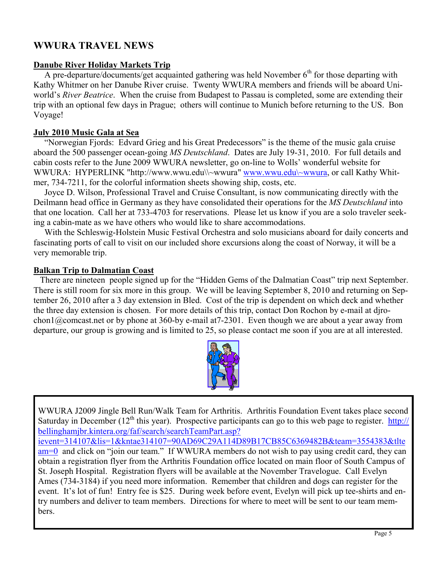## **WWURA TRAVEL NEWS**

#### **Danube River Holiday Markets Trip**

A pre-departure/documents/get acquainted gathering was held November  $6<sup>th</sup>$  for those departing with Kathy Whitmer on her Danube River cruise. Twenty WWURA members and friends will be aboard Uniworld's *River Beatrice*. When the cruise from Budapest to Passau is completed, some are extending their trip with an optional few days in Prague; others will continue to Munich before returning to the US. Bon Voyage!

#### **July 2010 Music Gala at Sea**

"Norwegian Fjords: Edvard Grieg and his Great Predecessors" is the theme of the music gala cruise aboard the 500 passenger ocean-going *MS Deutschland*. Dates are July 19-31, 2010. For full details and cabin costs refer to the June 2009 WWURA newsletter, go on-line to Wolls' wonderful website for WWURA: HYPERLINK "http://www.wwu.edu\\~wwura" www.wwu.edu\~wwura, or call Kathy Whitmer, 734-7211, for the colorful information sheets showing ship, costs, etc.

 Joyce D. Wilson, Professional Travel and Cruise Consultant, is now communicating directly with the Deilmann head office in Germany as they have consolidated their operations for the *MS Deutschland* into that one location. Call her at 733-4703 for reservations. Please let us know if you are a solo traveler seeking a cabin-mate as we have others who would like to share accommodations.

 With the Schleswig-Holstein Music Festival Orchestra and solo musicians aboard for daily concerts and fascinating ports of call to visit on our included shore excursions along the coast of Norway, it will be a very memorable trip.

#### **Balkan Trip to Dalmatian Coast**

 There are nineteen people signed up for the "Hidden Gems of the Dalmatian Coast" trip next September. There is still room for six more in this group. We will be leaving September 8, 2010 and returning on September 26, 2010 after a 3 day extension in Bled. Cost of the trip is dependent on which deck and whether the three day extension is chosen. For more details of this trip, contact Don Rochon by e-mail at djrochon1@comcast.net or by phone at 360-by e-mail at7-2301. Even though we are about a year away from departure, our group is growing and is limited to 25, so please contact me soon if you are at all interested.



WWURA J2009 Jingle Bell Run/Walk Team for Arthritis. Arthritis Foundation Event takes place second Saturday in December ( $12<sup>th</sup>$  this year). Prospective participants can go to this web page to register. http:// bellinghamjbr.kintera.org/faf/search/searchTeamPart.asp? ievent=314107&lis=1&kntae314107=90AD69C29A114D89B17CB85C6369482B&team=3554383&tlte am=0 and click on "join our team." If WWURA members do not wish to pay using credit card, they can obtain a registration flyer from the Arthritis Foundation office located on main floor of South Campus of St. Joseph Hospital. Registration flyers will be available at the November Travelogue. Call Evelyn Ames (734-3184) if you need more information. Remember that children and dogs can register for the event. It's lot of fun! Entry fee is \$25. During week before event, Evelyn will pick up tee-shirts and entry numbers and deliver to team members. Directions for where to meet will be sent to our team members.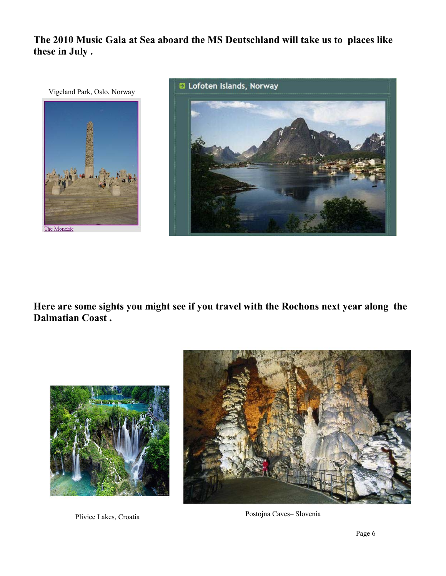**The 2010 Music Gala at Sea aboard the MS Deutschland will take us to places like these in July .** 



**Here are some sights you might see if you travel with the Rochons next year along the Dalmatian Coast .** 





Plivice Lakes, Croatia Postojna Caves– Slovenia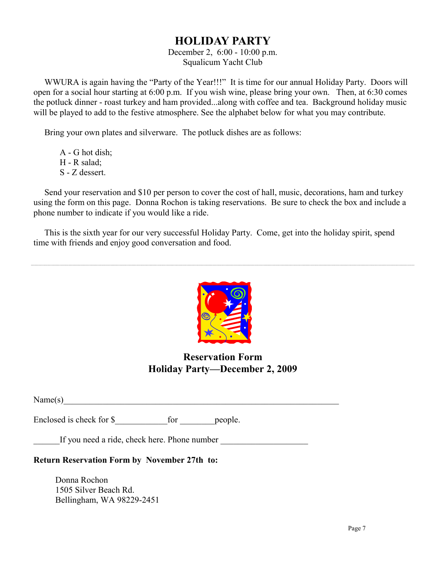## **HOLIDAY PARTY**

#### December 2, 6:00 - 10:00 p.m. Squalicum Yacht Club

 WWURA is again having the "Party of the Year!!!" It is time for our annual Holiday Party. Doors will open for a social hour starting at 6:00 p.m. If you wish wine, please bring your own. Then, at 6:30 comes the potluck dinner - roast turkey and ham provided...along with coffee and tea. Background holiday music will be played to add to the festive atmosphere. See the alphabet below for what you may contribute.

Bring your own plates and silverware. The potluck dishes are as follows:

 A - G hot dish; H - R salad; S - Z dessert.

 Send your reservation and \$10 per person to cover the cost of hall, music, decorations, ham and turkey using the form on this page. Donna Rochon is taking reservations. Be sure to check the box and include a phone number to indicate if you would like a ride.

 This is the sixth year for our very successful Holiday Party. Come, get into the holiday spirit, spend time with friends and enjoy good conversation and food.



## **Reservation Form Holiday Party—December 2, 2009**

 $Name(s)$ 

Enclosed is check for \$  $\Box$  for people.

If you need a ride, check here. Phone number

## **Return Reservation Form by November 27th to:**

 Donna Rochon 1505 Silver Beach Rd. Bellingham, WA 98229-2451